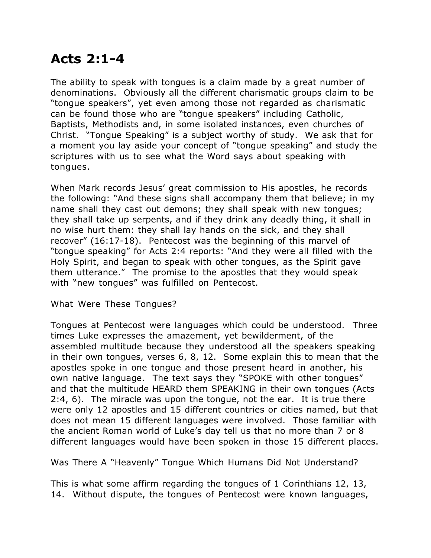## **Acts 2:1-4**

The ability to speak with tongues is a claim made by a great number of denominations. Obviously all the different charismatic groups claim to be "tongue speakers", yet even among those not regarded as charismatic can be found those who are "tongue speakers" including Catholic, Baptists, Methodists and, in some isolated instances, even churches of Christ. "Tongue Speaking" is a subject worthy of study. We ask that for a moment you lay aside your concept of "tongue speaking" and study the scriptures with us to see what the Word says about speaking with tongues.

When Mark records Jesus' great commission to His apostles, he records the following: "And these signs shall accompany them that believe; in my name shall they cast out demons; they shall speak with new tongues; they shall take up serpents, and if they drink any deadly thing, it shall in no wise hurt them: they shall lay hands on the sick, and they shall recover" (16:17-18). Pentecost was the beginning of this marvel of "tongue speaking" for Acts 2:4 reports: "And they were all filled with the Holy Spirit, and began to speak with other tongues, as the Spirit gave them utterance." The promise to the apostles that they would speak with "new tongues" was fulfilled on Pentecost.

What Were These Tongues?

Tongues at Pentecost were languages which could be understood. Three times Luke expresses the amazement, yet bewilderment, of the assembled multitude because they understood all the speakers speaking in their own tongues, verses 6, 8, 12. Some explain this to mean that the apostles spoke in one tongue and those present heard in another, his own native language. The text says they "SPOKE with other tongues" and that the multitude HEARD them SPEAKING in their own tongues (Acts 2:4, 6). The miracle was upon the tongue, not the ear. It is true there were only 12 apostles and 15 different countries or cities named, but that does not mean 15 different languages were involved. Those familiar with the ancient Roman world of Luke's day tell us that no more than 7 or 8 different languages would have been spoken in those 15 different places.

Was There A "Heavenly" Tongue Which Humans Did Not Understand?

This is what some affirm regarding the tongues of 1 Corinthians 12, 13, 14. Without dispute, the tongues of Pentecost were known languages,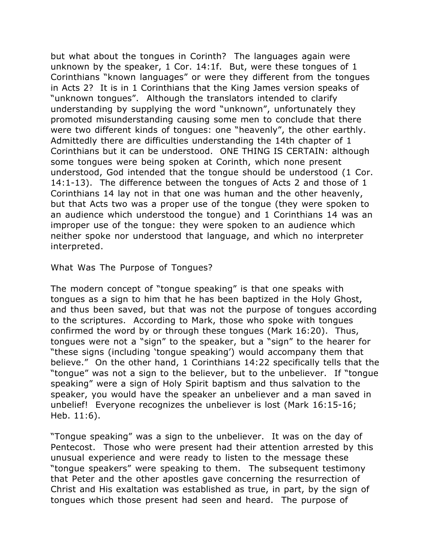but what about the tongues in Corinth? The languages again were unknown by the speaker, 1 Cor. 14:1f. But, were these tongues of 1 Corinthians "known languages" or were they different from the tongues in Acts 2? It is in 1 Corinthians that the King James version speaks of "unknown tongues". Although the translators intended to clarify understanding by supplying the word "unknown", unfortunately they promoted misunderstanding causing some men to conclude that there were two different kinds of tongues: one "heavenly", the other earthly. Admittedly there are difficulties understanding the 14th chapter of 1 Corinthians but it can be understood. ONE THING IS CERTAIN: although some tongues were being spoken at Corinth, which none present understood, God intended that the tongue should be understood (1 Cor. 14:1-13). The difference between the tongues of Acts 2 and those of 1 Corinthians 14 lay not in that one was human and the other heavenly, but that Acts two was a proper use of the tongue (they were spoken to an audience which understood the tongue) and 1 Corinthians 14 was an improper use of the tongue: they were spoken to an audience which neither spoke nor understood that language, and which no interpreter interpreted.

What Was The Purpose of Tongues?

The modern concept of "tongue speaking" is that one speaks with tongues as a sign to him that he has been baptized in the Holy Ghost, and thus been saved, but that was not the purpose of tongues according to the scriptures. According to Mark, those who spoke with tongues confirmed the word by or through these tongues (Mark 16:20). Thus, tongues were not a "sign" to the speaker, but a "sign" to the hearer for "these signs (including 'tongue speaking') would accompany them that believe." On the other hand, 1 Corinthians 14:22 specifically tells that the "tongue" was not a sign to the believer, but to the unbeliever. If "tongue speaking" were a sign of Holy Spirit baptism and thus salvation to the speaker, you would have the speaker an unbeliever and a man saved in unbelief! Everyone recognizes the unbeliever is lost (Mark 16:15-16; Heb. 11:6).

"Tongue speaking" was a sign to the unbeliever. It was on the day of Pentecost. Those who were present had their attention arrested by this unusual experience and were ready to listen to the message these "tongue speakers" were speaking to them. The subsequent testimony that Peter and the other apostles gave concerning the resurrection of Christ and His exaltation was established as true, in part, by the sign of tongues which those present had seen and heard. The purpose of